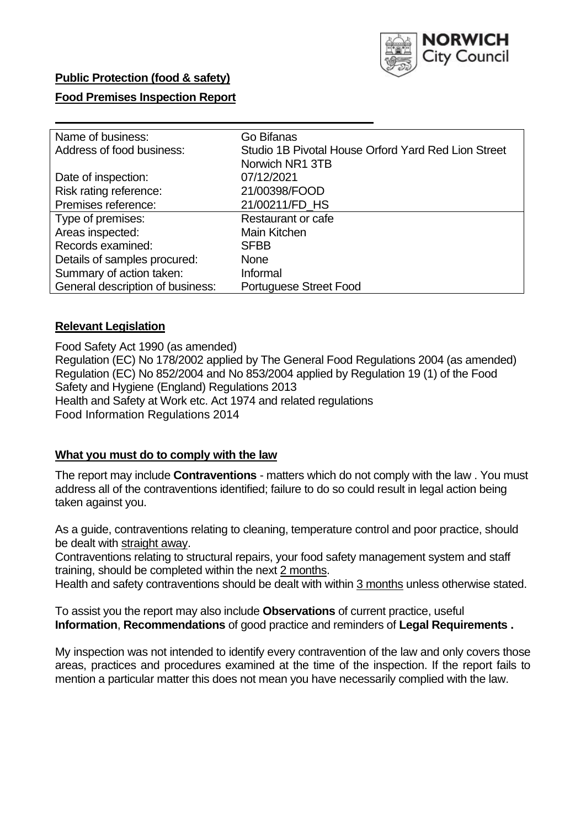

### **Public Protection (food & safety)**

### **Food Premises Inspection Report**

| Name of business:                | Go Bifanas                                          |
|----------------------------------|-----------------------------------------------------|
| Address of food business:        | Studio 1B Pivotal House Orford Yard Red Lion Street |
|                                  | Norwich NR1 3TB                                     |
| Date of inspection:              | 07/12/2021                                          |
| Risk rating reference:           | 21/00398/FOOD                                       |
| Premises reference:              | 21/00211/FD_HS                                      |
| Type of premises:                | <b>Restaurant or cafe</b>                           |
| Areas inspected:                 | Main Kitchen                                        |
| Records examined:                | <b>SFBB</b>                                         |
| Details of samples procured:     | <b>None</b>                                         |
| Summary of action taken:         | Informal                                            |
| General description of business: | Portuguese Street Food                              |

#### **Relevant Legislation**

 Food Safety Act 1990 (as amended) Regulation (EC) No 178/2002 applied by The General Food Regulations 2004 (as amended) Regulation (EC) No 852/2004 and No 853/2004 applied by Regulation 19 (1) of the Food Safety and Hygiene (England) Regulations 2013 Health and Safety at Work etc. Act 1974 and related regulations Food Information Regulations 2014

#### **What you must do to comply with the law**

 The report may include **Contraventions** - matters which do not comply with the law . You must address all of the contraventions identified; failure to do so could result in legal action being taken against you.

 As a guide, contraventions relating to cleaning, temperature control and poor practice, should be dealt with straight away.

 Contraventions relating to structural repairs, your food safety management system and staff training, should be completed within the next 2 months.

Health and safety contraventions should be dealt with within 3 months unless otherwise stated.

 To assist you the report may also include **Observations** of current practice, useful **Information**, **Recommendations** of good practice and reminders of **Legal Requirements .** 

 My inspection was not intended to identify every contravention of the law and only covers those areas, practices and procedures examined at the time of the inspection. If the report fails to mention a particular matter this does not mean you have necessarily complied with the law.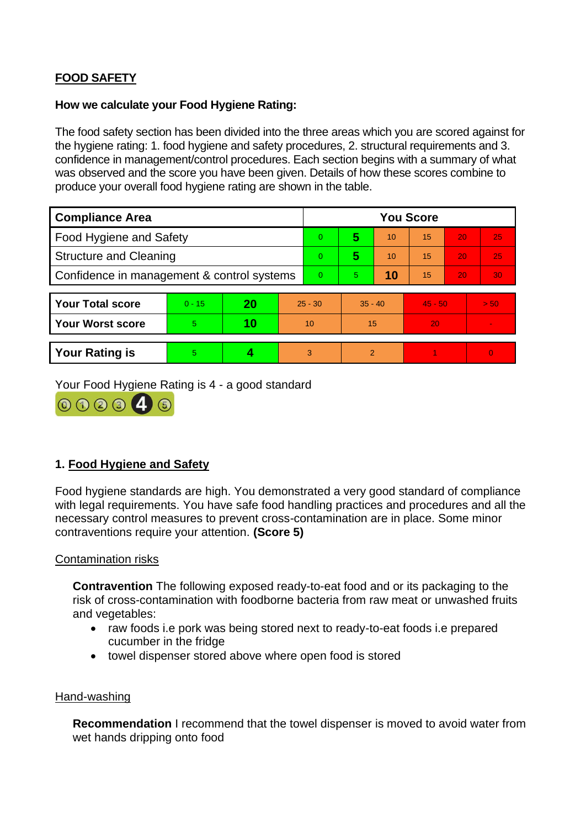# **FOOD SAFETY**

### **How we calculate your Food Hygiene Rating:**

 The food safety section has been divided into the three areas which you are scored against for the hygiene rating: 1. food hygiene and safety procedures, 2. structural requirements and 3. confidence in management/control procedures. Each section begins with a summary of what was observed and the score you have been given. Details of how these scores combine to produce your overall food hygiene rating are shown in the table.

| <b>Compliance Area</b>                     |          |    |                 | <b>You Score</b> |                |    |           |    |                |  |  |
|--------------------------------------------|----------|----|-----------------|------------------|----------------|----|-----------|----|----------------|--|--|
| Food Hygiene and Safety                    |          |    |                 | 0                | 5              | 10 | 15        | 20 | 25             |  |  |
| <b>Structure and Cleaning</b>              |          |    |                 | $\Omega$         | 5              | 10 | 15        | 20 | 25             |  |  |
| Confidence in management & control systems |          |    | $\Omega$        | 5                | 10             | 15 | 20        | 30 |                |  |  |
|                                            |          |    |                 |                  |                |    |           |    |                |  |  |
| <b>Your Total score</b>                    | $0 - 15$ | 20 | $25 - 30$       |                  | $35 - 40$      |    | $45 - 50$ |    | > 50           |  |  |
| <b>Your Worst score</b>                    | 5        | 10 | 10 <sup>°</sup> |                  | 15             |    | 20        |    | $\blacksquare$ |  |  |
|                                            |          |    |                 |                  |                |    |           |    |                |  |  |
| <b>Your Rating is</b>                      | 5        |    |                 | 3                | $\overline{2}$ |    |           |    | $\Omega$       |  |  |

Your Food Hygiene Rating is 4 - a good standard



## **1. Food Hygiene and Safety**

 with legal requirements. You have safe food handling practices and procedures and all the Food hygiene standards are high. You demonstrated a very good standard of compliance necessary control measures to prevent cross-contamination are in place. Some minor contraventions require your attention. **(Score 5)** 

### Contamination risks

**Contravention** The following exposed ready-to-eat food and or its packaging to the risk of cross-contamination with foodborne bacteria from raw meat or unwashed fruits and vegetables:

- cucumber in the fridge • raw foods i.e pork was being stored next to ready-to-eat foods i.e prepared
- towel dispenser stored above where open food is stored

#### Hand-washing

**Recommendation** I recommend that the towel dispenser is moved to avoid water from wet hands dripping onto food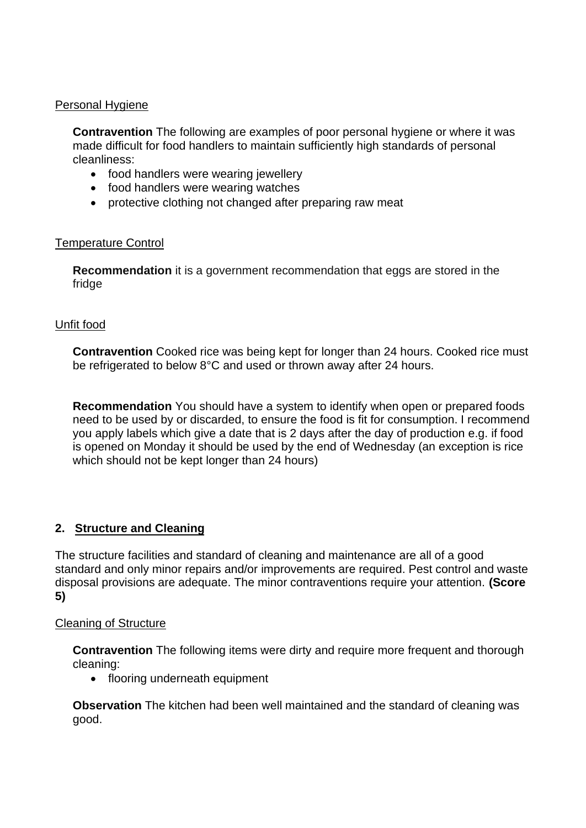### Personal Hygiene

 made difficult for food handlers to maintain sufficiently high standards of personal **Contravention** The following are examples of poor personal hygiene or where it was cleanliness:

- food handlers were wearing jewellery
- food handlers were wearing watches
- protective clothing not changed after preparing raw meat

### Temperature Control

**Recommendation** it is a government recommendation that eggs are stored in the fridge

### Unfit food

 **Contravention** Cooked rice was being kept for longer than 24 hours. Cooked rice must be refrigerated to below 8°C and used or thrown away after 24 hours.

**Recommendation** You should have a system to identify when open or prepared foods need to be used by or discarded, to ensure the food is fit for consumption. I recommend you apply labels which give a date that is 2 days after the day of production e.g. if food is opened on Monday it should be used by the end of Wednesday (an exception is rice which should not be kept longer than 24 hours)

### **2. Structure and Cleaning**

 The structure facilities and standard of cleaning and maintenance are all of a good standard and only minor repairs and/or improvements are required. Pest control and waste disposal provisions are adequate. The minor contraventions require your attention. **(Score 5)** 

#### Cleaning of Structure

**Contravention** The following items were dirty and require more frequent and thorough cleaning:

• flooring underneath equipment

 **Observation** The kitchen had been well maintained and the standard of cleaning was good.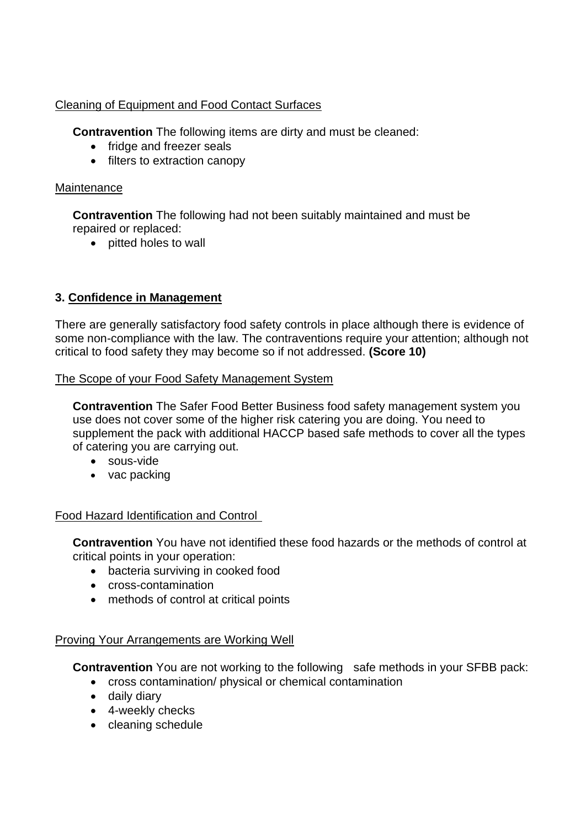## Cleaning of Equipment and Food Contact Surfaces

**Contravention** The following items are dirty and must be cleaned:

- fridge and freezer seals
- filters to extraction canopy

### **Maintenance**

**Contravention** The following had not been suitably maintained and must be repaired or replaced:

• pitted holes to wall

## **3. Confidence in Management**

 There are generally satisfactory food safety controls in place although there is evidence of some non-compliance with the law. The contraventions require your attention; although not critical to food safety they may become so if not addressed. **(Score 10)** 

### The Scope of your Food Safety Management System

 use does not cover some of the higher risk catering you are doing. You need to **Contravention** The Safer Food Better Business food safety management system you supplement the pack with additional HACCP based safe methods to cover all the types of catering you are carrying out.

- sous-vide
- vac packing

### Food Hazard Identification and Control

**Contravention** You have not identified these food hazards or the methods of control at critical points in your operation:

- bacteria surviving in cooked food
- cross-contamination
- methods of control at critical points

### Proving Your Arrangements are Working Well

**Contravention** You are not working to the following safe methods in your SFBB pack:

- cross contamination/ physical or chemical contamination
- daily diary
- 4-weekly checks
- cleaning schedule